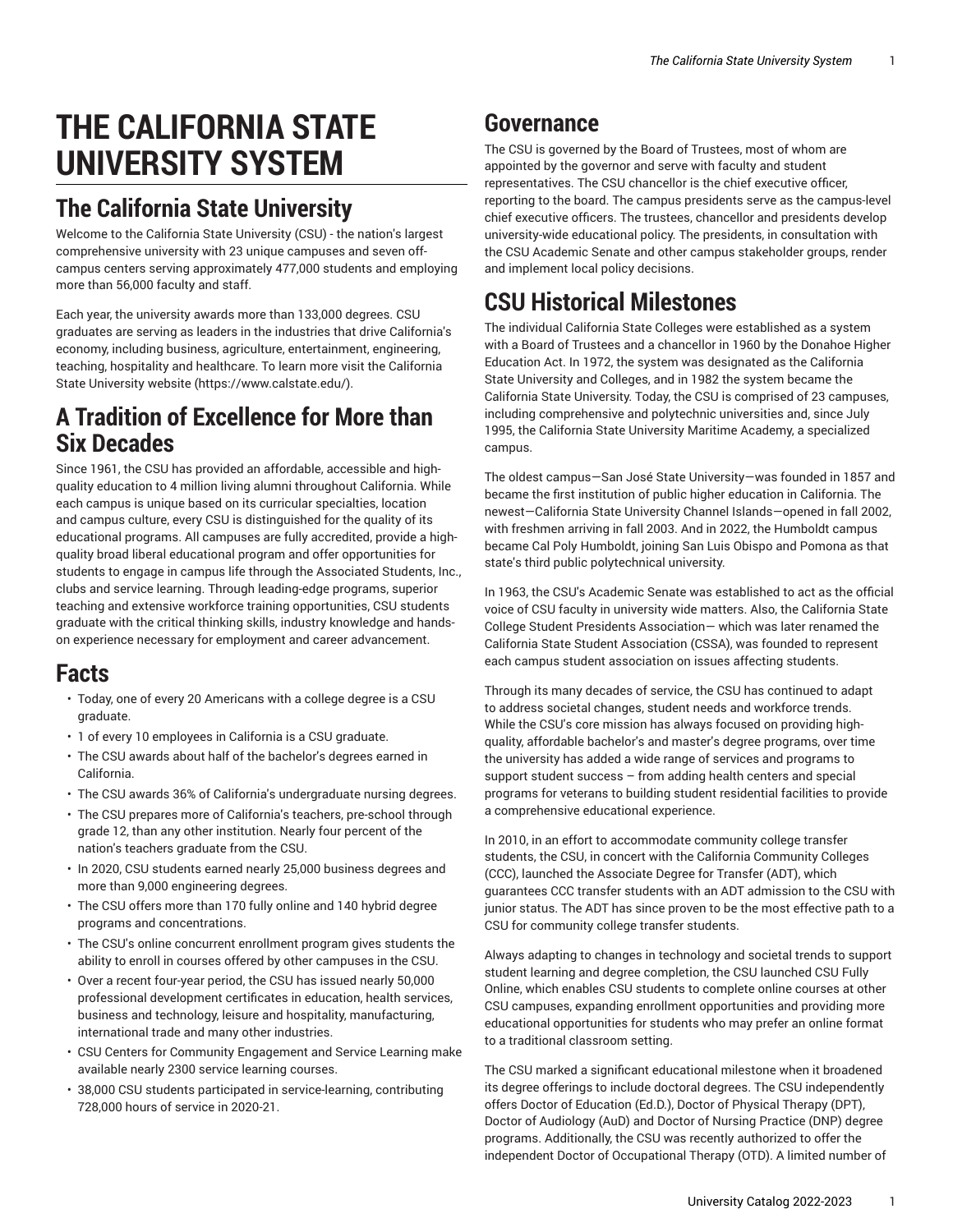# **THE CALIFORNIA STATE UNIVERSITY SYSTEM**

## **The California State University**

Welcome to the California State University (CSU) - the nation's largest comprehensive university with 23 unique campuses and seven offcampus centers serving approximately 477,000 students and employing more than 56,000 faculty and staff.

Each year, the university awards more than 133,000 degrees. CSU graduates are serving as leaders in the industries that drive California's economy, including business, agriculture, entertainment, engineering, teaching, hospitality and healthcare. To learn more visit the [California](https://www.calstate.edu/) State [University](https://www.calstate.edu/) website ([https://www.calstate.edu/\)](https://www.calstate.edu/).

### **A Tradition of Excellence for More than Six Decades**

Since 1961, the CSU has provided an affordable, accessible and highquality education to 4 million living alumni throughout California. While each campus is unique based on its curricular specialties, location and campus culture, every CSU is distinguished for the quality of its educational programs. All campuses are fully accredited, provide a highquality broad liberal educational program and offer opportunities for students to engage in campus life through the Associated Students, Inc., clubs and service learning. Through leading-edge programs, superior teaching and extensive workforce training opportunities, CSU students graduate with the critical thinking skills, industry knowledge and handson experience necessary for employment and career advancement.

### **Facts**

- Today, one of every 20 Americans with a college degree is a CSU graduate.
- 1 of every 10 employees in California is a CSU graduate.
- The CSU awards about half of the bachelor's degrees earned in California.
- The CSU awards 36% of California's undergraduate nursing degrees.
- The CSU prepares more of California's teachers, pre-school through grade 12, than any other institution. Nearly four percent of the nation's teachers graduate from the CSU.
- In 2020, CSU students earned nearly 25,000 business degrees and more than 9,000 engineering degrees.
- The CSU offers more than 170 fully online and 140 hybrid degree programs and concentrations.
- The CSU's online concurrent enrollment program gives students the ability to enroll in courses offered by other campuses in the CSU.
- Over a recent four-year period, the CSU has issued nearly 50,000 professional development certificates in education, health services, business and technology, leisure and hospitality, manufacturing, international trade and many other industries.
- CSU Centers for Community Engagement and Service Learning make available nearly 2300 service learning courses.
- 38,000 CSU students participated in service-learning, contributing 728,000 hours of service in 2020-21.

## **Governance**

The CSU is governed by the Board of Trustees, most of whom are appointed by the governor and serve with faculty and student representatives. The CSU chancellor is the chief executive officer, reporting to the board. The campus presidents serve as the campus-level chief executive officers. The trustees, chancellor and presidents develop university-wide educational policy. The presidents, in consultation with the CSU Academic Senate and other campus stakeholder groups, render and implement local policy decisions.

## **CSU Historical Milestones**

The individual California State Colleges were established as a system with a Board of Trustees and a chancellor in 1960 by the Donahoe Higher Education Act. In 1972, the system was designated as the California State University and Colleges, and in 1982 the system became the California State University. Today, the CSU is comprised of 23 campuses, including comprehensive and polytechnic universities and, since July 1995, the California State University Maritime Academy, a specialized campus.

The oldest campus—San José State University—was founded in 1857 and became the first institution of public higher education in California. The newest—California State University Channel Islands—opened in fall 2002, with freshmen arriving in fall 2003. And in 2022, the Humboldt campus became Cal Poly Humboldt, joining San Luis Obispo and Pomona as that state's third public polytechnical university.

In 1963, the CSU's Academic Senate was established to act as the official voice of CSU faculty in university wide matters. Also, the California State College Student Presidents Association— which was later renamed the California State Student Association (CSSA), was founded to represent each campus student association on issues affecting students.

Through its many decades of service, the CSU has continued to adapt to address societal changes, student needs and workforce trends. While the CSU's core mission has always focused on providing highquality, affordable bachelor's and master's degree programs, over time the university has added a wide range of services and programs to support student success – from adding health centers and special programs for veterans to building student residential facilities to provide a comprehensive educational experience.

In 2010, in an effort to accommodate community college transfer students, the CSU, in concert with the California Community Colleges (CCC), launched the Associate Degree for Transfer (ADT), which guarantees CCC transfer students with an ADT admission to the CSU with junior status. The ADT has since proven to be the most effective path to a CSU for community college transfer students.

Always adapting to changes in technology and societal trends to support student learning and degree completion, the CSU launched CSU Fully Online, which enables CSU students to complete online courses at other CSU campuses, expanding enrollment opportunities and providing more educational opportunities for students who may prefer an online format to a traditional classroom setting.

The CSU marked a significant educational milestone when it broadened its degree offerings to include doctoral degrees. The CSU independently offers Doctor of Education (Ed.D.), Doctor of Physical Therapy (DPT), Doctor of Audiology (AuD) and Doctor of Nursing Practice (DNP) degree programs. Additionally, the CSU was recently authorized to offer the independent Doctor of Occupational Therapy (OTD). A limited number of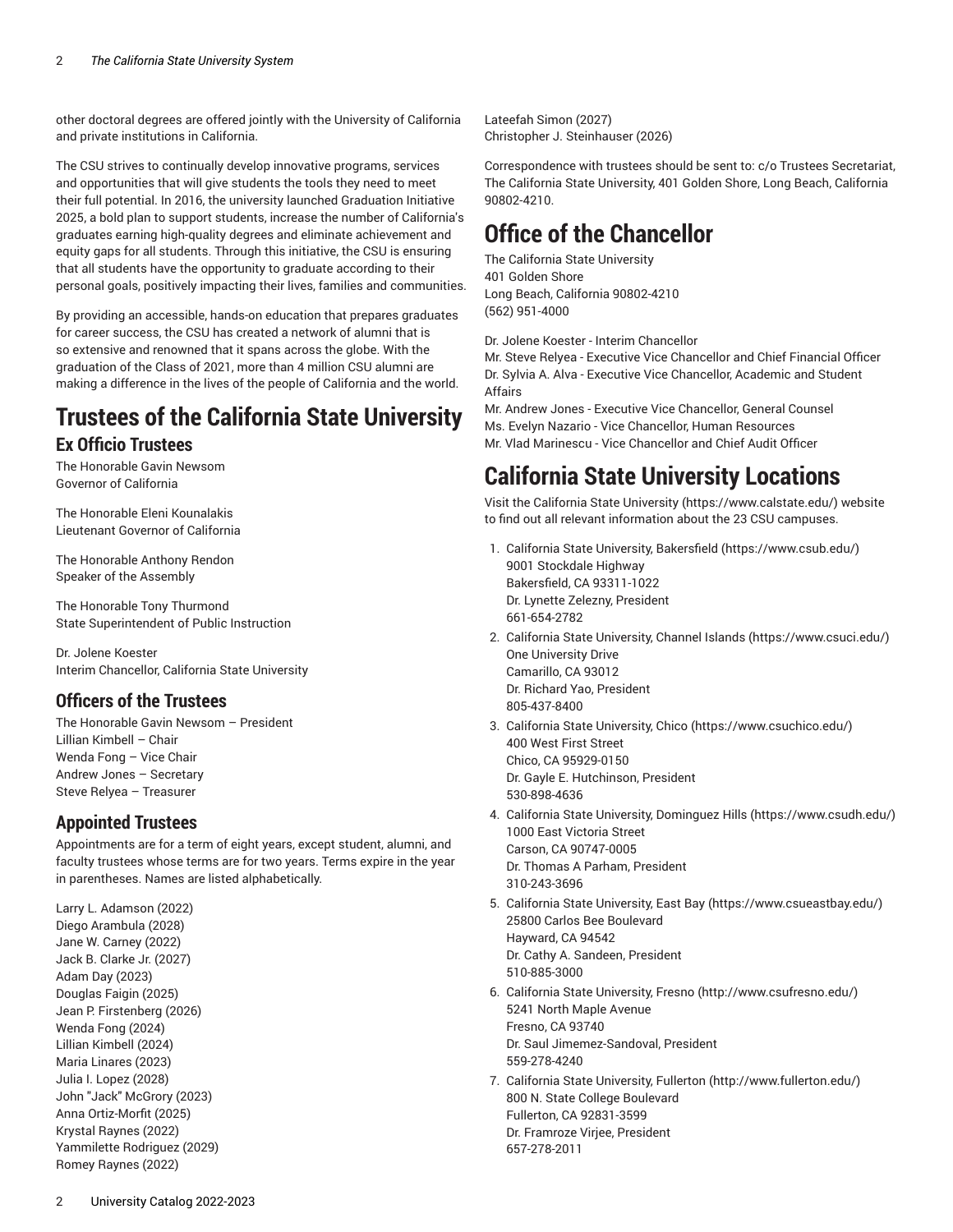other doctoral degrees are offered jointly with the University of California and private institutions in California.

The CSU strives to continually develop innovative programs, services and opportunities that will give students the tools they need to meet their full potential. In 2016, the university launched Graduation Initiative 2025, a bold plan to support students, increase the number of California's graduates earning high-quality degrees and eliminate achievement and equity gaps for all students. Through this initiative, the CSU is ensuring that all students have the opportunity to graduate according to their personal goals, positively impacting their lives, families and communities.

By providing an accessible, hands-on education that prepares graduates for career success, the CSU has created a network of alumni that is so extensive and renowned that it spans across the globe. With the graduation of the Class of 2021, more than 4 million CSU alumni are making a difference in the lives of the people of California and the world.

### **Trustees of the California State University Ex Officio Trustees**

The Honorable Gavin Newsom Governor of California

The Honorable Eleni Kounalakis Lieutenant Governor of California

The Honorable Anthony Rendon Speaker of the Assembly

The Honorable Tony Thurmond State Superintendent of Public Instruction

Dr. Jolene Koester Interim Chancellor, California State University

### **Officers of the Trustees**

The Honorable Gavin Newsom – President Lillian Kimbell – Chair Wenda Fong – Vice Chair Andrew Jones – Secretary Steve Relyea – Treasurer

#### **Appointed Trustees**

Appointments are for a term of eight years, except student, alumni, and faculty trustees whose terms are for two years. Terms expire in the year in parentheses. Names are listed alphabetically.

Larry L. Adamson (2022) Diego Arambula (2028) Jane W. Carney (2022) Jack B. Clarke Jr. (2027) Adam Day (2023) Douglas Faigin (2025) Jean P. Firstenberg (2026) Wenda Fong (2024) Lillian Kimbell (2024) Maria Linares (2023) Julia I. Lopez (2028) John "Jack" McGrory (2023) Anna Ortiz-Morfit (2025) Krystal Raynes (2022) Yammilette Rodriguez (2029) Romey Raynes (2022)

Lateefah Simon (2027) Christopher J. Steinhauser (2026)

Correspondence with trustees should be sent to: c/o Trustees Secretariat, The California State University, 401 Golden Shore, Long Beach, California 90802-4210.

### **Office of the Chancellor**

The California State University 401 Golden Shore Long Beach, California 90802-4210 (562) 951-4000

Dr. Jolene Koester - Interim Chancellor

Mr. Steve Relyea - Executive Vice Chancellor and Chief Financial Officer Dr. Sylvia A. Alva - Executive Vice Chancellor, Academic and Student Affairs

Mr. Andrew Jones - Executive Vice Chancellor, General Counsel Ms. Evelyn Nazario - Vice Chancellor, Human Resources Mr. Vlad Marinescu - Vice Chancellor and Chief Audit Officer

### **California State University Locations**

Visit the California State [University](https://www.calstate.edu/) ([https://www.calstate.edu/\)](https://www.calstate.edu/) website to find out all relevant information about the 23 CSU campuses.

- 1. California State University, [Bakersfield \(https://www.csub.edu/\)](https://www.csub.edu/) 9001 Stockdale Highway Bakersfield, CA 93311-1022 Dr. Lynette Zelezny, President 661-654-2782
- 2. California State [University,](https://www.csuci.edu/) Channel Islands ([https://www.csuci.edu/\)](https://www.csuci.edu/) One University Drive Camarillo, CA 93012 Dr. Richard Yao, President 805-437-8400
- 3. California State [University,](https://www.csuchico.edu/) Chico (<https://www.csuchico.edu/>) 400 West First Street Chico, CA 95929-0150 Dr. Gayle E. Hutchinson, President 530-898-4636
- 4. California State University, [Dominguez](https://www.csudh.edu/) Hills ([https://www.csudh.edu/\)](https://www.csudh.edu/) 1000 East Victoria Street Carson, CA 90747-0005 Dr. Thomas A Parham, President 310-243-3696
- 5. California State [University,](https://www.csueastbay.edu/) East Bay ([https://www.csueastbay.edu/\)](https://www.csueastbay.edu/) 25800 Carlos Bee Boulevard Hayward, CA 94542 Dr. Cathy A. Sandeen, President 510-885-3000
- 6. California State [University,](http://www.csufresno.edu/) Fresno [\(http://www.csufresno.edu/\)](http://www.csufresno.edu/) 5241 North Maple Avenue Fresno, CA 93740 Dr. Saul Jimemez-Sandoval, President 559-278-4240
- 7. California State [University,](http://www.fullerton.edu/) Fullerton [\(http://www.fullerton.edu/](http://www.fullerton.edu/)) 800 N. State College Boulevard Fullerton, CA 92831-3599 Dr. Framroze Virjee, President 657-278-2011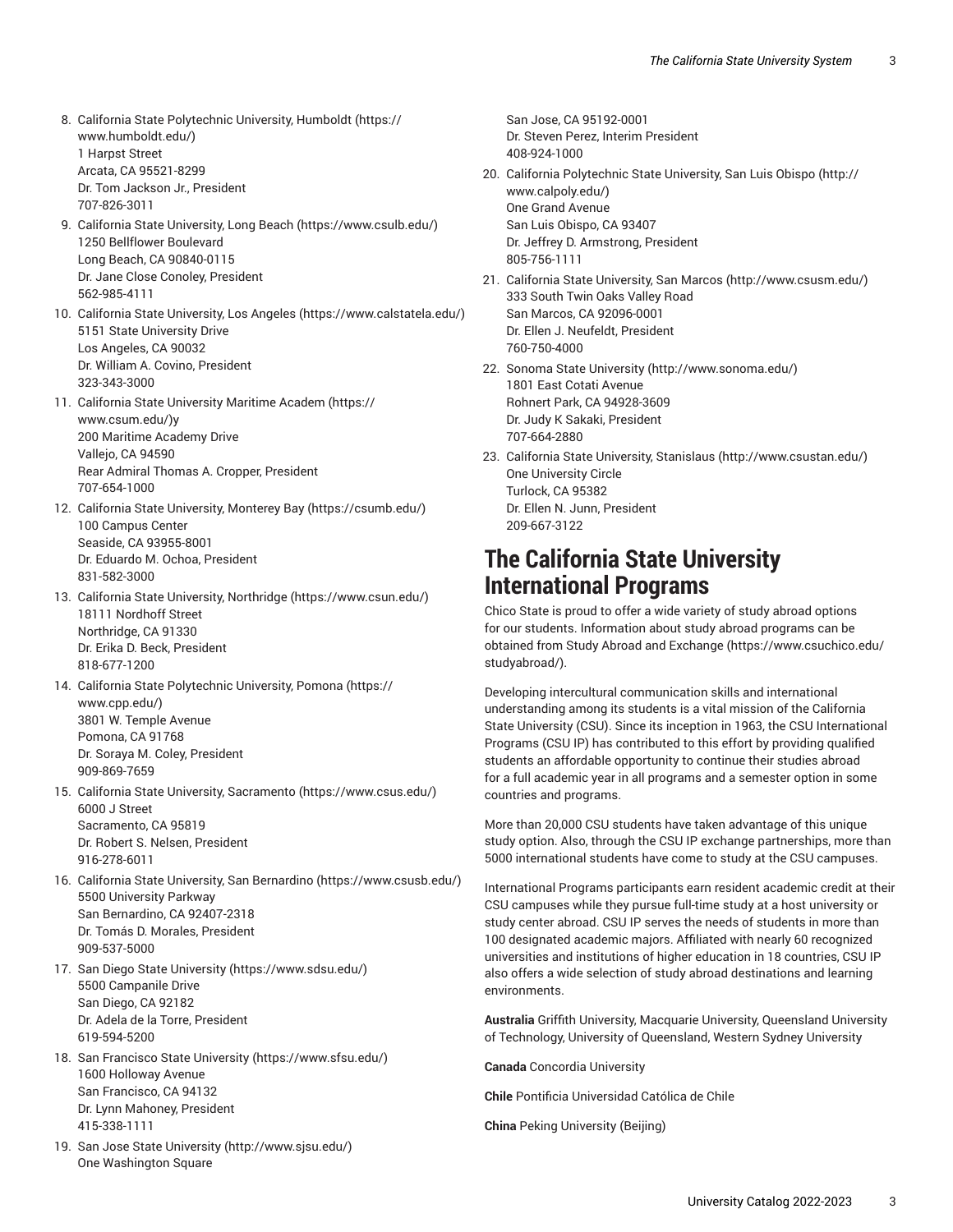- 8. California State [Polytechnic](https://www.humboldt.edu/) University, Humboldt ([https://](https://www.humboldt.edu/) [www.humboldt.edu/](https://www.humboldt.edu/)) 1 Harpst Street Arcata, CA 95521-8299 Dr. Tom Jackson Jr., President 707-826-3011
- 9. California State [University,](https://www.csulb.edu/) Long Beach [\(https://www.csulb.edu/\)](https://www.csulb.edu/) 1250 Bellflower Boulevard Long Beach, CA 90840-0115 Dr. Jane Close Conoley, President 562-985-4111
- 10. California State [University,](https://www.calstatela.edu/) Los Angeles (<https://www.calstatela.edu/>) 5151 State University Drive Los Angeles, CA 90032 Dr. William A. Covino, President 323-343-3000
- 11. California State [University](https://www.csum.edu/) Maritime Academ ([https://](https://www.csum.edu/) [www.csum.edu/\)](https://www.csum.edu/)y 200 Maritime Academy Drive Vallejo, CA 94590 Rear Admiral Thomas A. Cropper, President 707-654-1000
- 12. California State [University,](https://csumb.edu/) Monterey Bay [\(https://csumb.edu/](https://csumb.edu/)) 100 Campus Center Seaside, CA 93955-8001 Dr. Eduardo M. Ochoa, President 831-582-3000
- 13. California State University, [Northridge \(https://www.csun.edu/\)](https://www.csun.edu/) 18111 Nordhoff Street Northridge, CA 91330 Dr. Erika D. Beck, President 818-677-1200
- 14. California State [Polytechnic](https://www.cpp.edu/) University, Pomona [\(https://](https://www.cpp.edu/) [www.cpp.edu/\)](https://www.cpp.edu/) 3801 W. Temple Avenue Pomona, CA 91768 Dr. Soraya M. Coley, President 909-869-7659
- 15. California State University, [Sacramento](https://www.csus.edu/) ([https://www.csus.edu/\)](https://www.csus.edu/) 6000 J Street Sacramento, CA 95819 Dr. Robert S. Nelsen, President 916-278-6011
- 16. California State University, San [Bernardino \(https://www.csusb.edu/\)](https://www.csusb.edu/) 5500 University Parkway San Bernardino, CA 92407-2318 Dr. Tomás D. Morales, President 909-537-5000
- 17. San Diego State [University](https://www.sdsu.edu/) [\(https://www.sdsu.edu/\)](https://www.sdsu.edu/) 5500 Campanile Drive San Diego, CA 92182 Dr. Adela de la Torre, President 619-594-5200
- 18. San Francisco State [University](https://www.sfsu.edu/) ([https://www.sfsu.edu/\)](https://www.sfsu.edu/) 1600 Holloway Avenue San Francisco, CA 94132 Dr. Lynn Mahoney, President 415-338-1111
- 19. San Jose State [University](http://www.sjsu.edu/) ([http://www.sjsu.edu/\)](http://www.sjsu.edu/) One Washington Square

Dr. Steven Perez, Interim President 408-924-1000 20. California [Polytechnic](http://www.calpoly.edu/) State University, San Luis Obispo ([http://](http://www.calpoly.edu/) [www.calpoly.edu/](http://www.calpoly.edu/)) One Grand Avenue San Luis Obispo, CA 93407 Dr. Jeffrey D. Armstrong, President 805-756-1111 21. California State [University,](http://www.csusm.edu/) San Marcos [\(http://www.csusm.edu/](http://www.csusm.edu/))

San Jose, CA 95192-0001

- 333 South Twin Oaks Valley Road San Marcos, CA 92096-0001 Dr. Ellen J. Neufeldt, President 760-750-4000
- 22. Sonoma State [University](http://www.sonoma.edu/) ([http://www.sonoma.edu/\)](http://www.sonoma.edu/) 1801 East Cotati Avenue Rohnert Park, CA 94928-3609 Dr. Judy K Sakaki, President 707-664-2880
- 23. California State University, [Stanislaus \(http://www.csustan.edu/\)](http://www.csustan.edu/) One University Circle Turlock, CA 95382 Dr. Ellen N. Junn, President 209-667-3122

### **The California State University International Programs**

Chico State is proud to offer a wide variety of study abroad options for our students. Information about study abroad programs can be obtained from Study Abroad and [Exchange](https://www.csuchico.edu/studyabroad/) ([https://www.csuchico.edu/](https://www.csuchico.edu/studyabroad/) [studyabroad/\)](https://www.csuchico.edu/studyabroad/).

Developing intercultural communication skills and international understanding among its students is a vital mission of the California State University (CSU). Since its inception in 1963, the CSU International Programs (CSU IP) has contributed to this effort by providing qualified students an affordable opportunity to continue their studies abroad for a full academic year in all programs and a semester option in some countries and programs.

More than 20,000 CSU students have taken advantage of this unique study option. Also, through the CSU IP exchange partnerships, more than 5000 international students have come to study at the CSU campuses.

International Programs participants earn resident academic credit at their CSU campuses while they pursue full-time study at a host university or study center abroad. CSU IP serves the needs of students in more than 100 designated academic majors. Affiliated with nearly 60 recognized universities and institutions of higher education in 18 countries, CSU IP also offers a wide selection of study abroad destinations and learning environments.

**Australia** Griffith University, Macquarie University, Queensland University of Technology, University of Queensland, Western Sydney University

**Canada** Concordia University

**Chile** Pontificia Universidad Católica de Chile

**China** Peking University (Beijing)